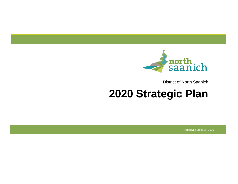

District of North Saanich

# **2020 Strategic Plan**

Approved June 15, 2020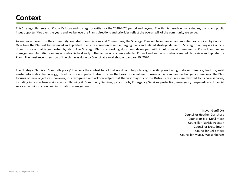# **Context**

This Strategic Plan sets out Council's focus and strategic priorities for the 2020-2023 period and beyond. The Plan is based on many studies, plans, and public input opportunities over the years and we believe the Plan's directions and priorities reflect the overall will of the community we serve.

As we learn more from the community, our staff, Commissions and Committees, the Strategic Plan will be enhanced and modified as required by Council. Over time the Plan will be reviewed and updated to ensure consistency with emerging plans and related strategic decisions. Strategic planning is a Councildriven process that is supported by staff. The Strategic Plan is a working document developed with input from all members of Council and senior management. An initial planning workshop is held early in the first year of a newly elected Council and annual workshops are held to review and update the Plan. The most recent revision of the plan was done by Council at a workshop on January 10, 2020.

The Strategic Plan is an "umbrella policy" that sets the context for all that we do and helps to align specific plans having to do with finance, land use, solid waste, information technology, infrastructure and parks. It also provides the basis for department business plans and annual budget submissions. The Plan focuses on new objectives; however, it is recognized and acknowledged that the vast majority of the District's resources are devoted to its core services, including infrastructure maintenance, Planning & Community Services, parks, trails, Emergency Services protection, emergency preparedness, financial services, administration, and information management.

> Mayor Geoff Orr Councillor Heather Gartshore Councillor Jack McClintock Councillor Patricia Pearson Councillor Brett Smyth Councillor Celia Stock Councillor Murray Weisenberger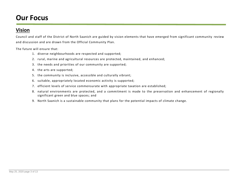# **Our Focus**

### **Vision**

Council and staff of the District of North Saanich are guided by vision elements that have emerged from significant community review and discussion and are drawn from the Official Community Plan.

The future will ensure that:

- 1. diverse neighbourhoods are respected and supported;
- 2. rural, marine and agricultural resources are protected, maintained, and enhanced;
- 3. the needs and priorities of our community are supported;
- 4. the arts are supported;
- 5. the community is inclusive, accessible and culturally vibrant;
- 6. suitable, appropriately located economic activity is supported;
- 7. efficient levels of service commensurate with appropriate taxation are established;
- 8. natural environments are protected, and a commitment is made to the preservation and enhancement of regionally significant green and blue spaces; and
- 9. North Saanich is a sustainable community that plans for the potential impacts of climate change.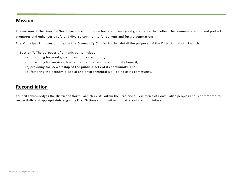### **Mission**

The mission of the Direct of North Saanich is to provide leadership and good governance that reflect the community vision and protects, promotes and enhances a safe and diverse community for current and future generations.

The Municipal Purposes outlined in the *Community Charter* further detail the purposes of the District of North Saanich:

Section 7. The purposes of a municipality include

- (a) providing for good government of its community,
- (b) providing for services, laws and other matters for community benefit,
- (c) providing for stewardship of the public assets of its community, and
- (d) fostering the economic, social and environmental well-being of its community.

### **Reconciliation**

Council acknowledges the District of North Saanich exists within the Traditional Territories of Coast Salish peoples and is c ommitted to respectfully and appropriately engaging First Nations communities in matters of common interest.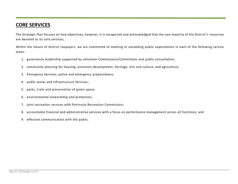## **CORE SERVICES**

The Strategic Plan focuses on new objectives; however, it is recognized and acknowledged that the vast majority of the District's resources are devoted to its core services,

Within the means of District taxpayers, we are committed to meeting or exceeding public expectations in each of the following service areas:

- 1. governance leadership supported by volunteer Commissions/Committees and public consultation;
- 2. community planning for housing, economic development, heritage, arts and culture, and agriculture;
- 3. Emergency Services, police and emergency preparedness;
- 4. public works and Infrastructure Services;
- 5. parks, trails and preservation of green space;
- 6. environmental stewardship and protection;
- 7. joint recreation services with Peninsula Recreation Commission;
- 8. accountable financial and administrative services with a focus on performance management across all functions; and
- 9. effective communication with the public.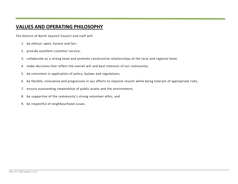# **VALUES AND OPERATING PHILOSOPHY**

The District of North Saanich Council and staff will:

- 1. be ethical, open, honest and fair;
- 2. provide excellent customer service;
- 3. collaborate as a strong team and promote constructive relationships at the local and regional level;
- 4. make decisions that reflect the overall will and best interests of our community;
- 5. be consistent in application of policy, bylaws and regulations;
- 6. be flexible, innovative and progressive in our efforts to improve results while being tolerant of appropriate risks;
- 7. ensure outstanding stewardship of public assets and the environment;
- 8. be supportive of the community's strong volunteer ethic; and
- 9. be respectful of neighbourhood issues.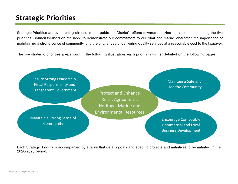# **Strategic Priorities**

Strategic Priorities are overarching directions that guide the District's efforts towards realizing our vision. In selecting the five priorities, Council focused on the need to demonstrate our commitment to our rural and marine character, the importance of maintaining a strong sense of community, and the challenges of delivering quality services at a reasonable cost to the taxpayer.

The five strategic priorities area shown in the following illustration; each priority is further detailed on the following pages.



Each Strategic Priority is accompanied by a table that details goals and specific projects and initiatives to be initiated in the 2020-2023 period.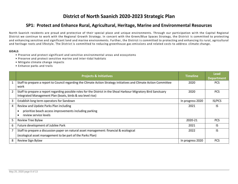# **District of North Saanich 2020-2023 Strategic Plan**

#### **SP1: Protect and Enhance Rural, Agricultural, Heritage, Marine and Environmental Resources**

North Saanich residents are proud and protective of their special place and unique environments. Through our participation wi th the Capital Regional District we continue to work with the Regional Growth Strategy. In concert with the Green/Blue Spaces Strategy, the District is committed to protecting and enhancing sensitive and significant land and marine environments. Further, the District is committed to protecting and enhancing its rural, agricultural and heritage roots and lifestyle. The District is committed to reducing greenhouse gas emissions and related costs to address climate change.

- Preserve and protect significant and sensitive environmental areas and ecosystems
- Preserve and protect sensitive marine and inter-tidal habitats
- Mitigate climate change impacts
- Enhance parks and trails

|   | <b>Projects &amp; Initiatives</b>                                                                                                                                               | <b>Timeline</b>  | <b>Lead</b><br><b>Department</b> |
|---|---------------------------------------------------------------------------------------------------------------------------------------------------------------------------------|------------------|----------------------------------|
|   | Staff to prepare a report to Council regarding the Climate Action Strategy initiatives and Climate Action Committee<br>work                                                     | 2020             | PCS.                             |
| 2 | Staff to prepare a report regarding possible roles for the District in the Shoal Harbour Migratory Bird Sanctuary<br>Integrated Management Plan (boats, birds & sea level rise) | 2020             | <b>PCS</b>                       |
| 3 | Establish long term operators for Sandown                                                                                                                                       | In progress 2020 | IS/PCS                           |
| 4 | Review and Update Parks Plan including                                                                                                                                          | 2021             | IS                               |
|   | prioritize beach access improvements including parking                                                                                                                          |                  |                                  |
|   | review service levels                                                                                                                                                           |                  |                                  |
| 5 | Review Tree Bylaw                                                                                                                                                               | 2020-21          | PCS.                             |
| 6 | Future development of Jubilee Park                                                                                                                                              | 2021             | IS                               |
|   | Staff to prepare a discussion paper on natural asset management: financial & ecological                                                                                         | 2022             | IS                               |
|   | (ecological asset management to be part of the Parks Plan)                                                                                                                      |                  |                                  |
| 8 | Review Sign Bylaw                                                                                                                                                               | In progress 2020 | <b>PCS</b>                       |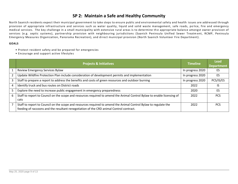#### **SP 2: Maintain a Safe and Healthy Community**

North Saanich residents expect their municipal government to take steps to ensure public and environmental safety and health issues are addressed through provision of appropriate infrastructure and services such as water quality, liquid and solid waste management, safe roads, po lice, fire and emergency medical services. The key challenge in a small municipality with extensive rural areas is to determine th e appropriate balance amongst owner provision of services (e.g. septic systems), partnership provision with neighbouring jurisdictions (Saanich Peninsula Unified Sewer Treatm ent, RCMP, Peninsula Emergency Measures Organization, Panorama Recreation), and direct municipal provision (North Saanich Volunteer Fire Department).

- Protect resident safety and be prepared for emergencies
- Encourage and support active lifestyles

|   | <b>Projects &amp; Initiatives</b>                                                                                                                                                                           | <b>Timeline</b>  | <b>Lead</b><br><b>Department</b> |
|---|-------------------------------------------------------------------------------------------------------------------------------------------------------------------------------------------------------------|------------------|----------------------------------|
|   | Review Emergency Services Bylaw                                                                                                                                                                             | In progress 2020 | ES                               |
|   | Update Wildfire Protection Plan include consideration of development permits and implementation                                                                                                             | In progress 2020 | ES                               |
| 3 | Staff to prepare a report to address the benefits and costs of green resources and outdoor burning                                                                                                          | In progress 2020 | PCS/IS/ES                        |
| 4 | Identify truck and bus routes on District roads                                                                                                                                                             | 2022             | lS                               |
|   | Explore the need to increase public engagement in emergency preparedness                                                                                                                                    | 2020             | ES                               |
| 6 | Staff to report to Council on the scope and resources required to amend the Animal Control Bylaw to enable licensing of<br>cats                                                                             | 2022             | <b>PCS</b>                       |
|   | Staff to report to Council on the scope and resources required to amend the Animal Control Bylaw to regulate the<br>feeding of raccoons and the resultant renegotiation of the CRD animal Control contract. | 2022             | <b>PCS</b>                       |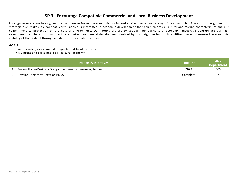#### **SP 3: Encourage Compatible Commercial and Local Business Development**

Local government has been given the mandate to foster the economic, social and environmental well -being of its community. The vision that guides this strategic plan makes it clear that North Saanich is interested in economic development that complements ou r rural and marine characteristics and our commitment to protection of the natural environment. Our motivators are to support our agricultural economy, encourage approp riate business development at the Airport and facilitate limited commercial development desired by our neighbourhoods. In addition, we must ensure the economic viability of the District through a balanced, sustainable tax base.

- An operating environment supportive of local business
- A vibrant and sustainable agricultural economy

| <b>Projects &amp; Initiatives</b>                          | <b>Timeline</b> | <b>Lead</b><br><b>Department</b> |
|------------------------------------------------------------|-----------------|----------------------------------|
| Review Home/Business Occupation permitted uses/regulations | 2022            | <b>PCS</b>                       |
| Develop Long-term Taxation Policy                          | Complete        |                                  |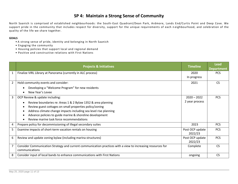#### **SP 4: Maintain a Strong Sense of Community**

North Saanich is comprised of established neighbourhoods: the South -East Quadrant/Dean Park, Ardmore, Lands End/Curtis Point and Deep Cove. We support pride in the community that includes respect for diversity, support for the unique requirements of each n eighbourhood, and celebration of the quality of the life we share together.

- A strong sense of pride, identity and belonging in North Saanich
- Engaging the community
- Housing policies that support local and regional demand
- Positive and constructive relations with First Nations

|                | <b>Projects &amp; Initiatives</b>                                                                                                                                                                                                                                                                                                     | <b>Timeline</b>                 | <b>Lead</b><br><b>Department</b> |
|----------------|---------------------------------------------------------------------------------------------------------------------------------------------------------------------------------------------------------------------------------------------------------------------------------------------------------------------------------------|---------------------------------|----------------------------------|
|                | Finalize VIRL Library at Panorama (currently in ALC process)                                                                                                                                                                                                                                                                          | 2020<br>In progress             | <b>PCS</b>                       |
| $\overline{2}$ | Hold community events and consider:<br>Developing a "Welcome Program" for new residents<br>New Year's Levee                                                                                                                                                                                                                           | 2021                            | <b>CS</b>                        |
| 3              | OCP Review & update including:<br>Review boundaries re: Areas 1 & 2 Bylaw 1352 & area planning<br>Review guest cottages on small properties policy/zoning<br>Address climate change impacts including sea level rise planning<br>Advance policies to guide marine & shoreline development<br>Review marine task force recommendations | $2020 - 2022$<br>2 year process | <b>PCS</b>                       |
| 4              | Prepare policy for decommissioning of illegal secondary suites                                                                                                                                                                                                                                                                        | 2023                            | <b>PCS</b>                       |
| 5              | Examine impacts of short-term vacation rentals on housing                                                                                                                                                                                                                                                                             | Post OCP update<br>2022/23      | <b>PCS</b>                       |
| 6              | Review and update zoning bylaw (including marina structures)                                                                                                                                                                                                                                                                          | Post OCP update<br>2022/23      | <b>PCS</b>                       |
|                | Consider Communication Strategy and current communication practices with a view to increasing resources for<br>communications                                                                                                                                                                                                         | Complete                        | C <sub>S</sub>                   |
| 8              | Consider input of local bands to enhance communications with First Nations                                                                                                                                                                                                                                                            | ongoing                         | <b>CS</b>                        |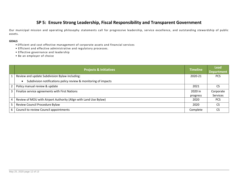#### **SP 5: Ensure Strong Leadership, Fiscal Responsibility and Transparent Government**

Our municipal mission and operating philosophy statements call for progressive leadership, service excellence, and outstanding stewardship of public assets.

- Efficient and cost effective management of corporate assets and financial services
- Efficient and effective administrative and regulatory processes.
- Effective governance and leadership
- Be an employer of choice

|                | <b>Projects &amp; Initiatives</b>                                            | <b>Timeline</b> | Lead<br><b>Department</b> |
|----------------|------------------------------------------------------------------------------|-----------------|---------------------------|
| $\mathbf{1}$   | Review and update Subdivision Bylaw including:                               | 2020-21         | <b>PCS</b>                |
|                | Subdivision notifications policy review & monitoring of impacts<br>$\bullet$ |                 |                           |
| $2^{\circ}$    | Policy manual review & update                                                | 2021            | CS                        |
| $\mathbf{3}$   | Finalize service agreements with First Nations                               | 2020 in         | Corporate                 |
|                |                                                                              | progress        | <b>Services</b>           |
| $\overline{4}$ | Review of MOU with Airport Authority (Align with Land Use Bylaw)             | 2020            | <b>PCS</b>                |
| 5 <sup>1</sup> | Review Council Procedure Bylaw                                               | 2020            | CS                        |
| 6              | Council to review Council appointments                                       | Complete        | CS                        |